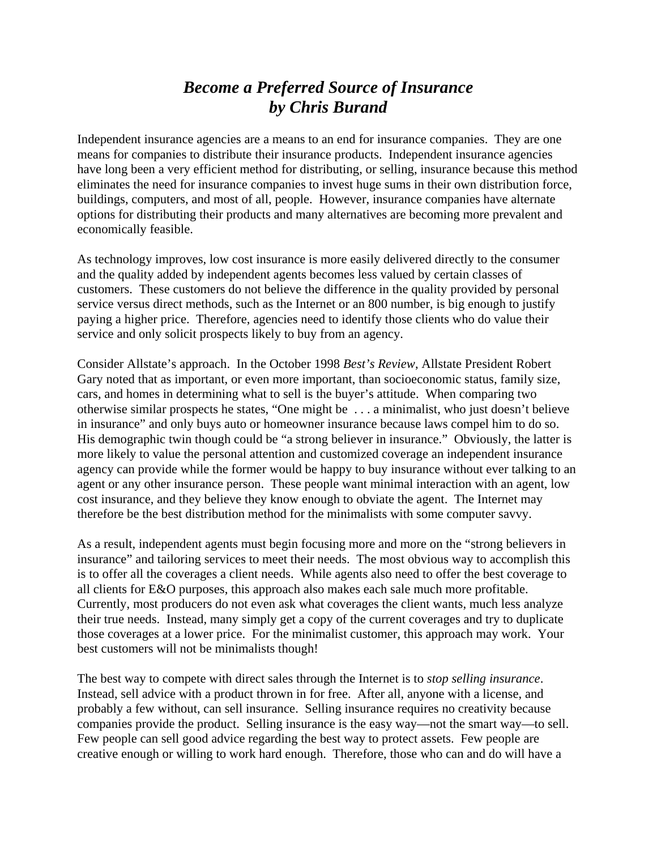## *Become a Preferred Source of Insurance by Chris Burand*

Independent insurance agencies are a means to an end for insurance companies. They are one means for companies to distribute their insurance products. Independent insurance agencies have long been a very efficient method for distributing, or selling, insurance because this method eliminates the need for insurance companies to invest huge sums in their own distribution force, buildings, computers, and most of all, people. However, insurance companies have alternate options for distributing their products and many alternatives are becoming more prevalent and economically feasible.

As technology improves, low cost insurance is more easily delivered directly to the consumer and the quality added by independent agents becomes less valued by certain classes of customers. These customers do not believe the difference in the quality provided by personal service versus direct methods, such as the Internet or an 800 number, is big enough to justify paying a higher price. Therefore, agencies need to identify those clients who do value their service and only solicit prospects likely to buy from an agency.

Consider Allstate's approach. In the October 1998 *Best's Review*, Allstate President Robert Gary noted that as important, or even more important, than socioeconomic status, family size, cars, and homes in determining what to sell is the buyer's attitude. When comparing two otherwise similar prospects he states, "One might be . . . a minimalist, who just doesn't believe in insurance" and only buys auto or homeowner insurance because laws compel him to do so. His demographic twin though could be "a strong believer in insurance." Obviously, the latter is more likely to value the personal attention and customized coverage an independent insurance agency can provide while the former would be happy to buy insurance without ever talking to an agent or any other insurance person. These people want minimal interaction with an agent, low cost insurance, and they believe they know enough to obviate the agent. The Internet may therefore be the best distribution method for the minimalists with some computer savvy.

As a result, independent agents must begin focusing more and more on the "strong believers in insurance" and tailoring services to meet their needs. The most obvious way to accomplish this is to offer all the coverages a client needs. While agents also need to offer the best coverage to all clients for E&O purposes, this approach also makes each sale much more profitable. Currently, most producers do not even ask what coverages the client wants, much less analyze their true needs. Instead, many simply get a copy of the current coverages and try to duplicate those coverages at a lower price. For the minimalist customer, this approach may work. Your best customers will not be minimalists though!

The best way to compete with direct sales through the Internet is to *stop selling insurance*. Instead, sell advice with a product thrown in for free. After all, anyone with a license, and probably a few without, can sell insurance. Selling insurance requires no creativity because companies provide the product. Selling insurance is the easy way—not the smart way—to sell. Few people can sell good advice regarding the best way to protect assets. Few people are creative enough or willing to work hard enough. Therefore, those who can and do will have a